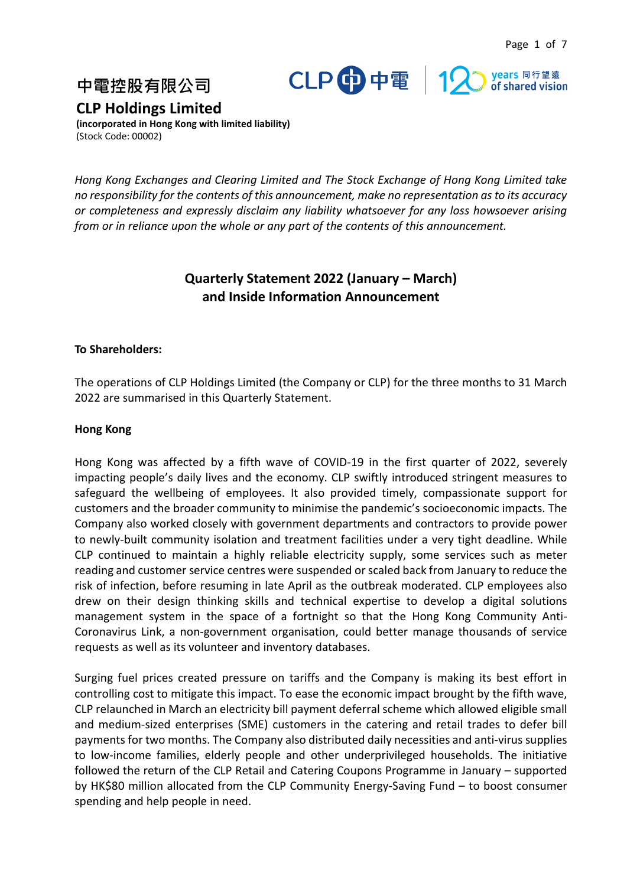



**中電控股有限公司**

**CLP Holdings Limited**

**(incorporated in Hong Kong with limited liability)** (Stock Code: 00002)

*Hong Kong Exchanges and Clearing Limited and The Stock Exchange of Hong Kong Limited take no responsibility for the contents of this announcement, make no representation as to its accuracy or completeness and expressly disclaim any liability whatsoever for any loss howsoever arising from or in reliance upon the whole or any part of the contents of this announcement.*

# **Quarterly Statement 2022 (January – March) and Inside Information Announcement**

### **To Shareholders:**

The operations of CLP Holdings Limited (the Company or CLP) for the three months to 31 March 2022 are summarised in this Quarterly Statement.

### **Hong Kong**

Hong Kong was affected by a fifth wave of COVID-19 in the first quarter of 2022, severely impacting people's daily lives and the economy. CLP swiftly introduced stringent measures to safeguard the wellbeing of employees. It also provided timely, compassionate support for customers and the broader community to minimise the pandemic's socioeconomic impacts. The Company also worked closely with government departments and contractors to provide power to newly-built community isolation and treatment facilities under a very tight deadline. While CLP continued to maintain a highly reliable electricity supply, some services such as meter reading and customer service centres were suspended or scaled back from January to reduce the risk of infection, before resuming in late April as the outbreak moderated. CLP employees also drew on their design thinking skills and technical expertise to develop a digital solutions management system in the space of a fortnight so that the Hong Kong Community Anti-Coronavirus Link, a non-government organisation, could better manage thousands of service requests as well as its volunteer and inventory databases.

Surging fuel prices created pressure on tariffs and the Company is making its best effort in controlling cost to mitigate this impact. To ease the economic impact brought by the fifth wave, CLP relaunched in March an electricity bill payment deferral scheme which allowed eligible small and medium-sized enterprises (SME) customers in the catering and retail trades to defer bill payments for two months. The Company also distributed daily necessities and anti-virus supplies to low-income families, elderly people and other underprivileged households. The initiative followed the return of the CLP Retail and Catering Coupons Programme in January – supported by HK\$80 million allocated from the CLP Community Energy-Saving Fund – to boost consumer spending and help people in need.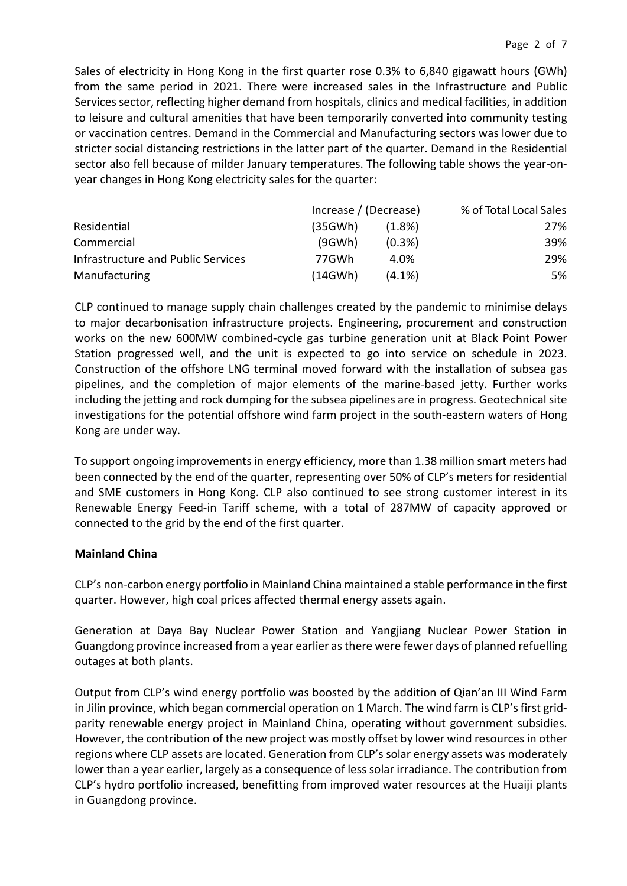Sales of electricity in Hong Kong in the first quarter rose 0.3% to 6,840 gigawatt hours (GWh) from the same period in 2021. There were increased sales in the Infrastructure and Public Services sector, reflecting higher demand from hospitals, clinics and medical facilities, in addition to leisure and cultural amenities that have been temporarily converted into community testing or vaccination centres. Demand in the Commercial and Manufacturing sectors was lower due to stricter social distancing restrictions in the latter part of the quarter. Demand in the Residential sector also fell because of milder January temperatures. The following table shows the year-onyear changes in Hong Kong electricity sales for the quarter:

|                                    | Increase / (Decrease) |           | % of Total Local Sales |
|------------------------------------|-----------------------|-----------|------------------------|
| Residential                        | (35GWh)               | $(1.8\%)$ | 27%                    |
| Commercial                         | (9GWh)                | $(0.3\%)$ | 39%                    |
| Infrastructure and Public Services | 77GWh                 | 4.0%      | 29%                    |
| Manufacturing                      | (14GWh)               | $(4.1\%)$ | 5%                     |

CLP continued to manage supply chain challenges created by the pandemic to minimise delays to major decarbonisation infrastructure projects. Engineering, procurement and construction works on the new 600MW combined-cycle gas turbine generation unit at Black Point Power Station progressed well, and the unit is expected to go into service on schedule in 2023. Construction of the offshore LNG terminal moved forward with the installation of subsea gas pipelines, and the completion of major elements of the marine-based jetty. Further works including the jetting and rock dumping for the subsea pipelines are in progress. Geotechnical site investigations for the potential offshore wind farm project in the south-eastern waters of Hong Kong are under way.

To support ongoing improvements in energy efficiency, more than 1.38 million smart meters had been connected by the end of the quarter, representing over 50% of CLP's meters for residential and SME customers in Hong Kong. CLP also continued to see strong customer interest in its Renewable Energy Feed-in Tariff scheme, with a total of 287MW of capacity approved or connected to the grid by the end of the first quarter.

### **Mainland China**

CLP's non-carbon energy portfolio in Mainland China maintained a stable performance in the first quarter. However, high coal prices affected thermal energy assets again.

Generation at Daya Bay Nuclear Power Station and Yangjiang Nuclear Power Station in Guangdong province increased from a year earlier as there were fewer days of planned refuelling outages at both plants.

Output from CLP's wind energy portfolio was boosted by the addition of Qian'an III Wind Farm in Jilin province, which began commercial operation on 1 March. The wind farm is CLP's first gridparity renewable energy project in Mainland China, operating without government subsidies. However, the contribution of the new project was mostly offset by lower wind resources in other regions where CLP assets are located. Generation from CLP's solar energy assets was moderately lower than a year earlier, largely as a consequence of less solar irradiance. The contribution from CLP's hydro portfolio increased, benefitting from improved water resources at the Huaiji plants in Guangdong province.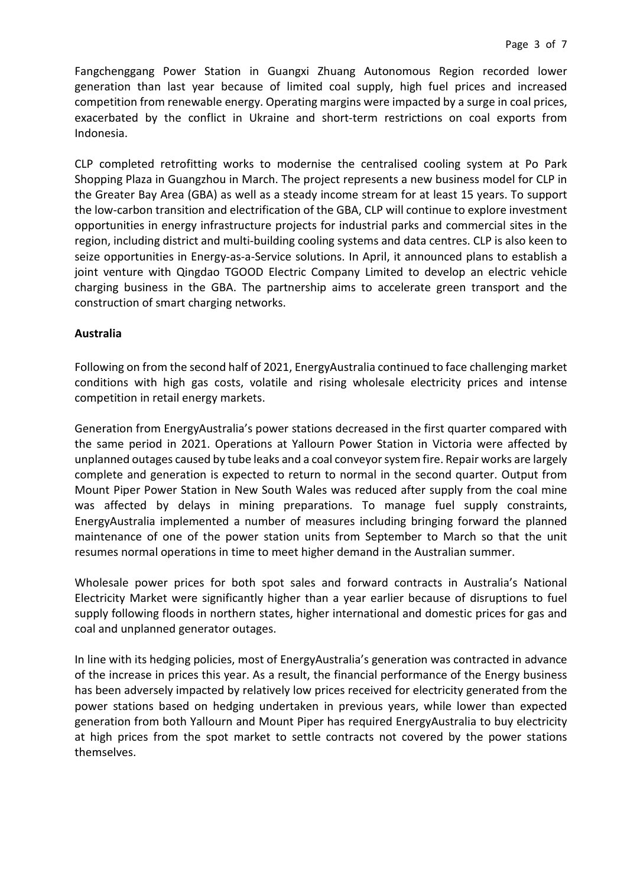Fangchenggang Power Station in Guangxi Zhuang Autonomous Region recorded lower generation than last year because of limited coal supply, high fuel prices and increased competition from renewable energy. Operating margins were impacted by a surge in coal prices, exacerbated by the conflict in Ukraine and short-term restrictions on coal exports from Indonesia.

CLP completed retrofitting works to modernise the centralised cooling system at Po Park Shopping Plaza in Guangzhou in March. The project represents a new business model for CLP in the Greater Bay Area (GBA) as well as a steady income stream for at least 15 years. To support the low-carbon transition and electrification of the GBA, CLP will continue to explore investment opportunities in energy infrastructure projects for industrial parks and commercial sites in the region, including district and multi-building cooling systems and data centres. CLP is also keen to seize opportunities in Energy-as-a-Service solutions. In April, it announced plans to establish a joint venture with Qingdao TGOOD Electric Company Limited to develop an electric vehicle charging business in the GBA. The partnership aims to accelerate green transport and the construction of smart charging networks.

### **Australia**

Following on from the second half of 2021, EnergyAustralia continued to face challenging market conditions with high gas costs, volatile and rising wholesale electricity prices and intense competition in retail energy markets.

Generation from EnergyAustralia's power stations decreased in the first quarter compared with the same period in 2021. Operations at Yallourn Power Station in Victoria were affected by unplanned outages caused by tube leaks and a coal conveyor system fire. Repair works are largely complete and generation is expected to return to normal in the second quarter. Output from Mount Piper Power Station in New South Wales was reduced after supply from the coal mine was affected by delays in mining preparations. To manage fuel supply constraints, EnergyAustralia implemented a number of measures including bringing forward the planned maintenance of one of the power station units from September to March so that the unit resumes normal operations in time to meet higher demand in the Australian summer.

Wholesale power prices for both spot sales and forward contracts in Australia's National Electricity Market were significantly higher than a year earlier because of disruptions to fuel supply following floods in northern states, higher international and domestic prices for gas and coal and unplanned generator outages.

In line with its hedging policies, most of EnergyAustralia's generation was contracted in advance of the increase in prices this year. As a result, the financial performance of the Energy business has been adversely impacted by relatively low prices received for electricity generated from the power stations based on hedging undertaken in previous years, while lower than expected generation from both Yallourn and Mount Piper has required EnergyAustralia to buy electricity at high prices from the spot market to settle contracts not covered by the power stations themselves.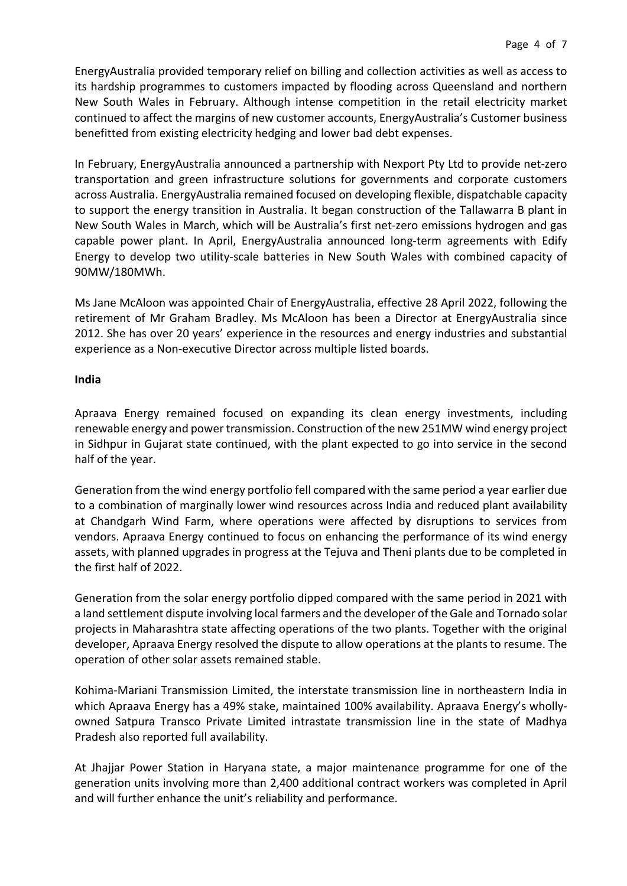EnergyAustralia provided temporary relief on billing and collection activities as well as access to its hardship programmes to customers impacted by flooding across Queensland and northern New South Wales in February. Although intense competition in the retail electricity market continued to affect the margins of new customer accounts, EnergyAustralia's Customer business benefitted from existing electricity hedging and lower bad debt expenses.

In February, EnergyAustralia announced a partnership with Nexport Pty Ltd to provide net-zero transportation and green infrastructure solutions for governments and corporate customers across Australia. EnergyAustralia remained focused on developing flexible, dispatchable capacity to support the energy transition in Australia. It began construction of the Tallawarra B plant in New South Wales in March, which will be Australia's first net-zero emissions hydrogen and gas capable power plant. In April, EnergyAustralia announced long-term agreements with Edify Energy to develop two utility-scale batteries in New South Wales with combined capacity of 90MW/180MWh.

Ms Jane McAloon was appointed Chair of EnergyAustralia, effective 28 April 2022, following the retirement of Mr Graham Bradley. Ms McAloon has been a Director at EnergyAustralia since 2012. She has over 20 years' experience in the resources and energy industries and substantial experience as a Non-executive Director across multiple listed boards.

### **India**

Apraava Energy remained focused on expanding its clean energy investments, including renewable energy and power transmission. Construction of the new 251MW wind energy project in Sidhpur in Gujarat state continued, with the plant expected to go into service in the second half of the year.

Generation from the wind energy portfolio fell compared with the same period a year earlier due to a combination of marginally lower wind resources across India and reduced plant availability at Chandgarh Wind Farm, where operations were affected by disruptions to services from vendors. Apraava Energy continued to focus on enhancing the performance of its wind energy assets, with planned upgrades in progress at the Tejuva and Theni plants due to be completed in the first half of 2022.

Generation from the solar energy portfolio dipped compared with the same period in 2021 with a land settlement dispute involving local farmers and the developer of the Gale and Tornado solar projects in Maharashtra state affecting operations of the two plants. Together with the original developer, Apraava Energy resolved the dispute to allow operations at the plants to resume. The operation of other solar assets remained stable.

Kohima-Mariani Transmission Limited, the interstate transmission line in northeastern India in which Apraava Energy has a 49% stake, maintained 100% availability. Apraava Energy's whollyowned Satpura Transco Private Limited intrastate transmission line in the state of Madhya Pradesh also reported full availability.

At Jhajjar Power Station in Haryana state, a major maintenance programme for one of the generation units involving more than 2,400 additional contract workers was completed in April and will further enhance the unit's reliability and performance.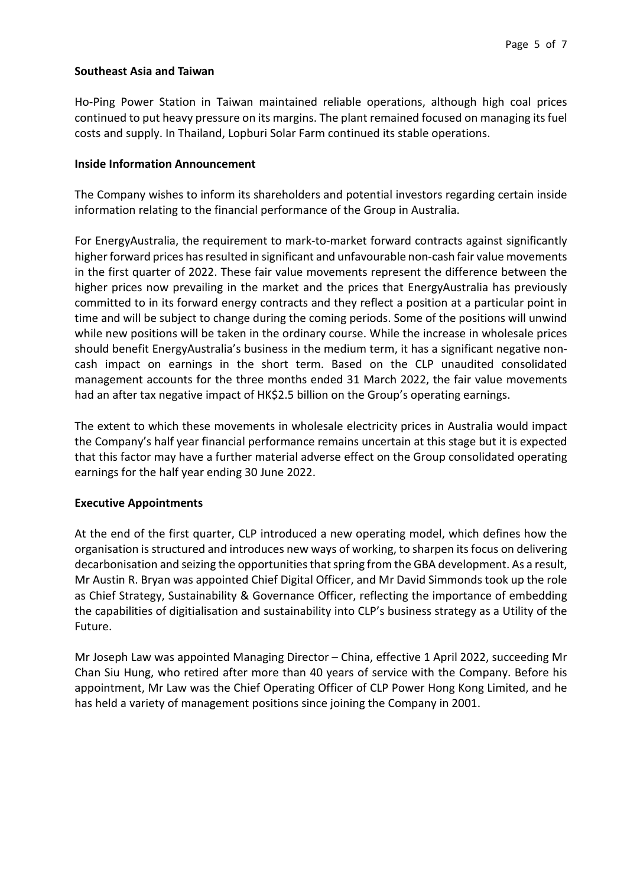### **Southeast Asia and Taiwan**

Ho-Ping Power Station in Taiwan maintained reliable operations, although high coal prices continued to put heavy pressure on its margins. The plant remained focused on managing its fuel costs and supply. In Thailand, Lopburi Solar Farm continued its stable operations.

### **Inside Information Announcement**

The Company wishes to inform its shareholders and potential investors regarding certain inside information relating to the financial performance of the Group in Australia.

For EnergyAustralia, the requirement to mark-to-market forward contracts against significantly higher forward prices has resulted in significant and unfavourable non-cash fair value movements in the first quarter of 2022. These fair value movements represent the difference between the higher prices now prevailing in the market and the prices that EnergyAustralia has previously committed to in its forward energy contracts and they reflect a position at a particular point in time and will be subject to change during the coming periods. Some of the positions will unwind while new positions will be taken in the ordinary course. While the increase in wholesale prices should benefit EnergyAustralia's business in the medium term, it has a significant negative noncash impact on earnings in the short term. Based on the CLP unaudited consolidated management accounts for the three months ended 31 March 2022, the fair value movements had an after tax negative impact of HK\$2.5 billion on the Group's operating earnings.

The extent to which these movements in wholesale electricity prices in Australia would impact the Company's half year financial performance remains uncertain at this stage but it is expected that this factor may have a further material adverse effect on the Group consolidated operating earnings for the half year ending 30 June 2022.

### **Executive Appointments**

At the end of the first quarter, CLP introduced a new operating model, which defines how the organisation is structured and introduces new ways of working, to sharpen itsfocus on delivering decarbonisation and seizing the opportunities that spring from the GBA development. As a result, Mr Austin R. Bryan was appointed Chief Digital Officer, and Mr David Simmonds took up the role as Chief Strategy, Sustainability & Governance Officer, reflecting the importance of embedding the capabilities of digitialisation and sustainability into CLP's business strategy as a Utility of the Future.

Mr Joseph Law was appointed Managing Director – China, effective 1 April 2022, succeeding Mr Chan Siu Hung, who retired after more than 40 years of service with the Company. Before his appointment, Mr Law was the Chief Operating Officer of CLP Power Hong Kong Limited, and he has held a variety of management positions since joining the Company in 2001.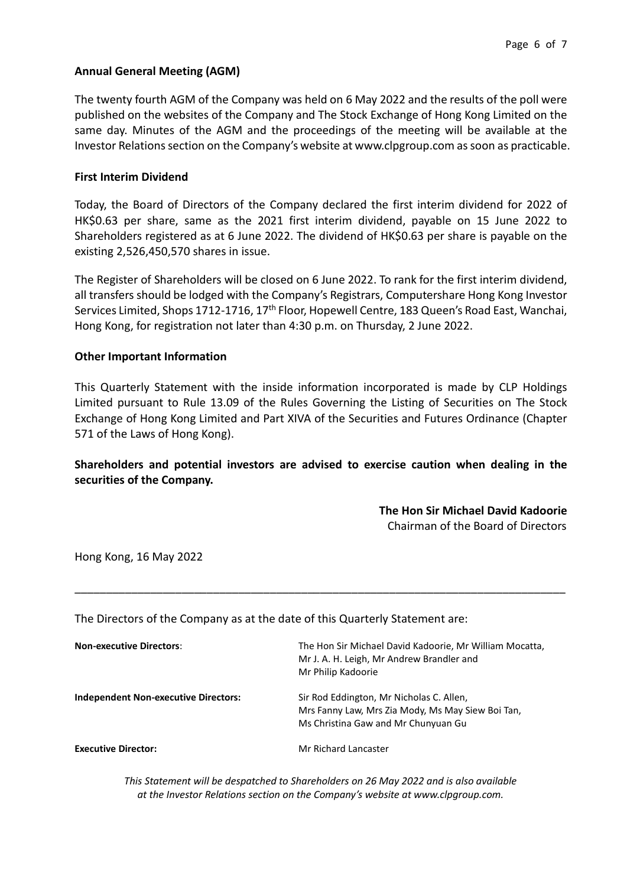### **Annual General Meeting (AGM)**

The twenty fourth AGM of the Company was held on 6 May 2022 and the results of the poll were published on the websites of the Company and The Stock Exchange of Hong Kong Limited on the same day. Minutes of the AGM and the proceedings of the meeting will be available at the Investor Relations section on the Company's website at www.clpgroup.com as soon as practicable.

### **First Interim Dividend**

Today, the Board of Directors of the Company declared the first interim dividend for 2022 of HK\$0.63 per share, same as the 2021 first interim dividend, payable on 15 June 2022 to Shareholders registered as at 6 June 2022. The dividend of HK\$0.63 per share is payable on the existing 2,526,450,570 shares in issue.

The Register of Shareholders will be closed on 6 June 2022. To rank for the first interim dividend, all transfers should be lodged with the Company's Registrars, Computershare Hong Kong Investor Services Limited, Shops 1712-1716, 17th Floor, Hopewell Centre, 183 Queen's Road East, Wanchai, Hong Kong, for registration not later than 4:30 p.m. on Thursday, 2 June 2022.

### **Other Important Information**

This Quarterly Statement with the inside information incorporated is made by CLP Holdings Limited pursuant to Rule 13.09 of the Rules Governing the Listing of Securities on The Stock Exchange of Hong Kong Limited and Part XIVA of the Securities and Futures Ordinance (Chapter 571 of the Laws of Hong Kong).

**Shareholders and potential investors are advised to exercise caution when dealing in the securities of the Company.**

\_\_\_\_\_\_\_\_\_\_\_\_\_\_\_\_\_\_\_\_\_\_\_\_\_\_\_\_\_\_\_\_\_\_\_\_\_\_\_\_\_\_\_\_\_\_\_\_\_\_\_\_\_\_\_\_\_\_\_\_\_\_\_\_\_\_\_\_\_\_\_\_\_\_\_\_\_\_

## **The Hon Sir Michael David Kadoorie**

Chairman of the Board of Directors

Hong Kong, 16 May 2022

The Directors of the Company as at the date of this Quarterly Statement are:

| <b>Non-executive Directors:</b>             | The Hon Sir Michael David Kadoorie, Mr William Mocatta,<br>Mr J. A. H. Leigh, Mr Andrew Brandler and<br>Mr Philip Kadoorie           |
|---------------------------------------------|--------------------------------------------------------------------------------------------------------------------------------------|
| <b>Independent Non-executive Directors:</b> | Sir Rod Eddington, Mr Nicholas C. Allen,<br>Mrs Fanny Law, Mrs Zia Mody, Ms May Siew Boi Tan,<br>Ms Christina Gaw and Mr Chunyuan Gu |
| <b>Executive Director:</b>                  | Mr Richard Lancaster                                                                                                                 |

*This Statement will be despatched to Shareholders on 26 May 2022 and is also available at the Investor Relations section on the Company's website at www.clpgroup.com.*